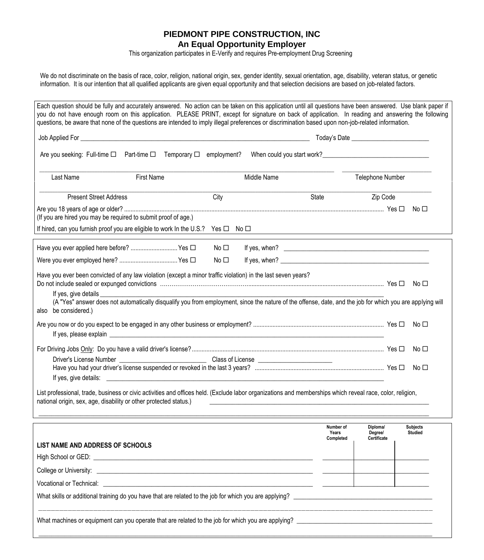## **PIEDMONT PIPE CONSTRUCTION, INC An Equal Opportunity Employer**

This organization participates in E-Verify and requires Pre-employment Drug Screening

We do not discriminate on the basis of race, color, religion, national origin, sex, gender identity, sexual orientation, age, disability, veteran status, or genetic information. It is our intention that all qualified applicants are given equal opportunity and that selection decisions are based on job-related factors.

| Are you seeking: Full-time □ Part-time □ Temporary □ employment?                                                                                                                                                                                                                                   |  |             |              |  |                                 |                                    |                                   |  |
|----------------------------------------------------------------------------------------------------------------------------------------------------------------------------------------------------------------------------------------------------------------------------------------------------|--|-------------|--------------|--|---------------------------------|------------------------------------|-----------------------------------|--|
| Last Name<br><b>First Name</b>                                                                                                                                                                                                                                                                     |  | Middle Name |              |  | Telephone Number                |                                    |                                   |  |
| <b>Present Street Address</b>                                                                                                                                                                                                                                                                      |  |             | City         |  | State                           | Zip Code                           |                                   |  |
| (If you are hired you may be required to submit proof of age.)                                                                                                                                                                                                                                     |  |             |              |  |                                 |                                    | No $\Box$                         |  |
| If hired, can you furnish proof you are eligible to work In the U.S.? Yes □ No □                                                                                                                                                                                                                   |  |             |              |  |                                 |                                    |                                   |  |
| Have you ever applied here before?  Yes □                                                                                                                                                                                                                                                          |  |             | No $\Box$    |  | If yes, when? $\qquad \qquad$   |                                    |                                   |  |
|                                                                                                                                                                                                                                                                                                    |  |             | No $\square$ |  |                                 |                                    |                                   |  |
| Have you ever been convicted of any law violation (except a minor traffic violation) in the last seven years?<br>If yes, give details<br>(A "Yes" answer does not automatically disqualify you from employment, since the nature of the offense, date, and the job for which you are applying will |  |             |              |  |                                 |                                    | No $\square$                      |  |
| also be considered.)                                                                                                                                                                                                                                                                               |  |             |              |  |                                 |                                    |                                   |  |
|                                                                                                                                                                                                                                                                                                    |  |             |              |  |                                 |                                    | No $\square$                      |  |
|                                                                                                                                                                                                                                                                                                    |  |             |              |  |                                 |                                    | No $\square$                      |  |
| If yes, give details:<br><u> 1999 - Johann Stoff, deutscher Stoffen und der Stoffen und der Stoffen und der Stoffen und der Stoffen und der Stoffen und der Stoffen und der Stoffen und der Stoffen und der Stoffen und der Stoffen und der Stoffen und d</u>                                      |  |             |              |  |                                 |                                    | No $\square$                      |  |
| List professional, trade, business or civic activities and offices held. (Exclude labor organizations and memberships which reveal race, color, religion,<br>national origin, sex, age, disability or other protected status.)                                                                     |  |             |              |  |                                 |                                    |                                   |  |
|                                                                                                                                                                                                                                                                                                    |  |             |              |  | Number of<br>Years<br>Completed | Diploma/<br>Degree/<br>Certificate | <b>Subjects</b><br><b>Studied</b> |  |
| LIST NAME AND ADDRESS OF SCHOOLS                                                                                                                                                                                                                                                                   |  |             |              |  |                                 |                                    |                                   |  |
|                                                                                                                                                                                                                                                                                                    |  |             |              |  |                                 |                                    |                                   |  |
|                                                                                                                                                                                                                                                                                                    |  |             |              |  |                                 |                                    |                                   |  |
| Vocational or Technical: <u>example and the series of the series of the series of the series of the series of the series of the series of the series of the series of the series of the series of the series of the series of th</u>                                                               |  |             |              |  |                                 |                                    |                                   |  |

 $\_$  , and the set of the set of the set of the set of the set of the set of the set of the set of the set of the set of the set of the set of the set of the set of the set of the set of the set of the set of the set of th